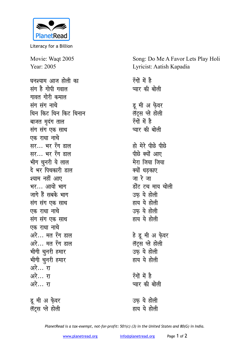

Literacy for a Billion

Movie: Waqt 2005 Year: 2005

घनश्याम आज होली का संग है गोपी गवाल गावत गोरी कमाल संग संग नाचे धिन किट धिन किट धिनान बाजत मदंग ताल संग संग एक साथ एक राधा नाचे सर... भर रँग डाल सर… भर रँग डाल भीग चुनरी ये लाल दे भर पिचकारी डाल श्याम नहीं आए भर... आयो भाग जागे हैं सबके भाग संग संग एक साथ एक राधा नाचे संग संग एक साथ एक राधा नाचे अरे... मत रॅंग डाल अरे... मत रॅंग डाल भीगी चुनरी हमार भीगी चुनरी हमार अरे… रा अरे… रा अरे… रा

डू मी अ फ़ेवर लॅंट्स प्ले होली

Song: Do Me A Favor Lets Play Holi Lyricist: Aatish Kapadia

रँगों में है प्यार की बोली डू मी अ फ़ेवर लॅटस प्ले होली रॅंगों में है प्यार की बोली हो मेरे पीछे पीछे पीछे क्यों आए मेरा जिया जिया क्यों धडकाए जा रे जा डोंट टच माय चोली उफ़ ये होली हाय ये होली उफ ये होली हाय ये होली हे डू मी अ फ़ेवर लॅट्स प्ले होली उफ ये होली हाय ये होली रॅंगों में है प्यार की बोली उफ ये होली हाय ये होली

PlanetRead is a tax-exempt, not-for-profit: 501(c) (3) in the United States and 80(G) in India.